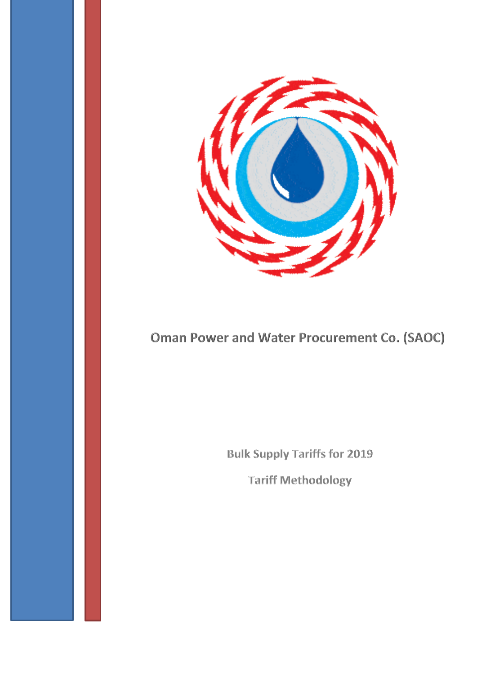

# **Oman Power and Water Procurement Co. (SAOC)**

**Bulk Supply Tariffs for 2019** 

**Tariff Methodology**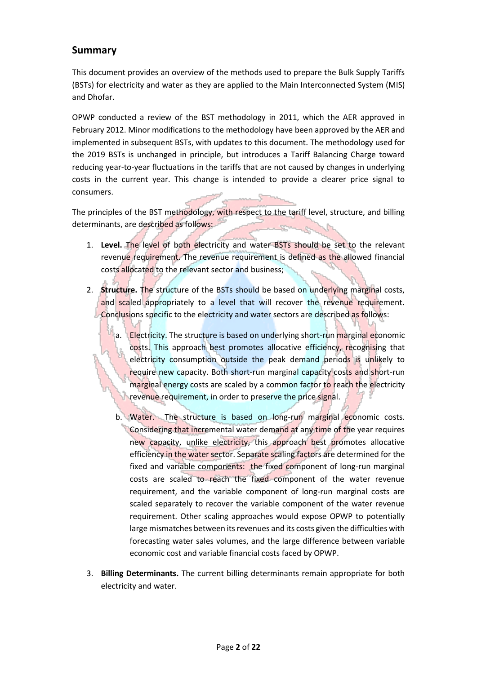### **Summary**

This document provides an overview of the methods used to prepare the Bulk Supply Tariffs (BSTs) for electricity and water as they are applied to the Main Interconnected System (MIS) and Dhofar.

OPWP conducted a review of the BST methodology in 2011, which the AER approved in February 2012. Minor modifications to the methodology have been approved by the AER and implemented in subsequent BSTs, with updates to this document. The methodology used for the 2019 BSTs is unchanged in principle, but introduces a Tariff Balancing Charge toward reducing year-to-year fluctuations in the tariffs that are not caused by changes in underlying costs in the current year. This change is intended to provide a clearer price signal to consumers.

The principles of the BST methodology, with respect to the tariff level, structure, and billing determinants, are described as follows:

- 1. **Level.** The level of both electricity and water BSTs should be set to the relevant revenue requirement. The revenue requirement is defined as the allowed financial costs allocated to the relevant sector and business;
- 2. **Structure.** The structure of the BSTs should be based on underlying marginal costs, and scaled appropriately to a level that will recover the revenue requirement. Conclusions specific to the electricity and water sectors are described as follows:
	- a. Electricity. The structure is based on underlying short-run marginal economic costs. This approach best promotes allocative efficiency, recognising that electricity consumption outside the peak demand periods is unlikely to require new capacity. Both short-run marginal capacity costs and short-run marginal energy costs are scaled by a common factor to reach the electricity revenue requirement, in order to preserve the price signal.
	- b. Water. The structure is based on long-run marginal economic costs. Considering that incremental water demand at any time of the year requires new capacity, unlike electricity, this approach best promotes allocative efficiency in the water sector. Separate scaling factors are determined for the fixed and variable components: the fixed component of long-run marginal costs are scaled to reach the fixed component of the water revenue requirement, and the variable component of long-run marginal costs are scaled separately to recover the variable component of the water revenue requirement. Other scaling approaches would expose OPWP to potentially large mismatches between its revenues and its costs given the difficulties with forecasting water sales volumes, and the large difference between variable economic cost and variable financial costs faced by OPWP.
- 3. **Billing Determinants.** The current billing determinants remain appropriate for both electricity and water.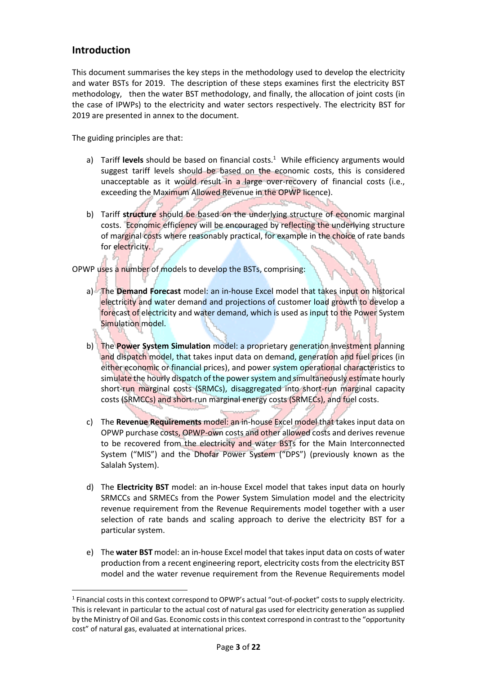### **Introduction**

**.** 

This document summarises the key steps in the methodology used to develop the electricity and water BSTs for 2019. The description of these steps examines first the electricity BST methodology, then the water BST methodology, and finally, the allocation of joint costs (in the case of IPWPs) to the electricity and water sectors respectively. The electricity BST for 2019 are presented in annex to the document.

The guiding principles are that:

- a) Tariff levels should be based on financial costs.<sup>1</sup> While efficiency arguments would suggest tariff levels should be based on the economic costs, this is considered unacceptable as it would result in a large over-recovery of financial costs (i.e., exceeding the Maximum Allowed Revenue in the OPWP licence).
- b) Tariff **structure** should be based on the underlying structure of economic marginal costs. Economic efficiency will be encouraged by reflecting the underlying structure of marginal costs where reasonably practical, for example in the choice of rate bands for electricity.

OPWP uses a number of models to develop the BSTs, comprising:

- a) The **Demand Forecast** model: an in-house Excel model that takes input on historical electricity and water demand and projections of customer load growth to develop a forecast of electricity and water demand, which is used as input to the Power System Simulation model.
- b) The **Power System Simulation** model: a proprietary generation investment planning and dispatch model, that takes input data on demand, generation and fuel prices (in either economic or financial prices), and power system operational characteristics to simulate the hourly dispatch of the power system and simultaneously estimate hourly short-run marginal costs (SRMCs), disaggregated into short-run marginal capacity costs (SRMCCs) and short-run marginal energy costs (SRMECs), and fuel costs.
- c) The **Revenue Requirements** model: an in-house Excel model that takes input data on OPWP purchase costs, OPWP-own costs and other allowed costs and derives revenue to be recovered from the electricity and water BSTs for the Main Interconnected System ("MIS") and the Dhofar Power System ("DPS") (previously known as the Salalah System).
- d) The **Electricity BST** model: an in-house Excel model that takes input data on hourly SRMCCs and SRMECs from the Power System Simulation model and the electricity revenue requirement from the Revenue Requirements model together with a user selection of rate bands and scaling approach to derive the electricity BST for a particular system.
- e) The **water BST** model: an in-house Excel model that takes input data on costs of water production from a recent engineering report, electricity costs from the electricity BST model and the water revenue requirement from the Revenue Requirements model

<sup>&</sup>lt;sup>1</sup> Financial costs in this context correspond to OPWP's actual "out-of-pocket" costs to supply electricity. This is relevant in particular to the actual cost of natural gas used for electricity generation as supplied by the Ministry of Oil and Gas. Economic costs in this context correspond in contrast to the "opportunity cost" of natural gas, evaluated at international prices.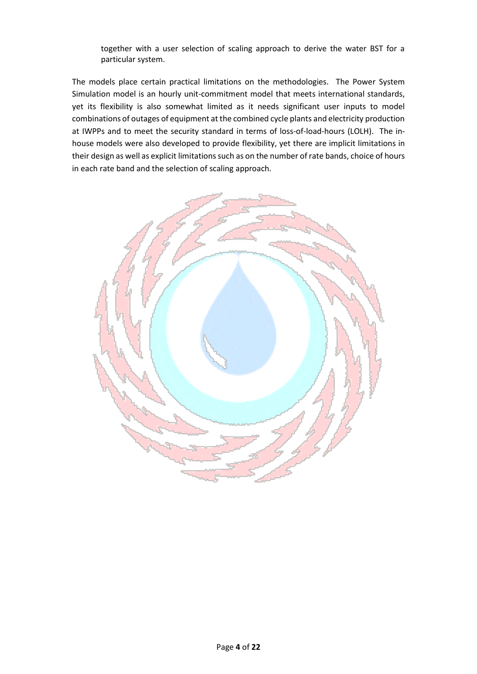together with a user selection of scaling approach to derive the water BST for a particular system.

The models place certain practical limitations on the methodologies. The Power System Simulation model is an hourly unit-commitment model that meets international standards, yet its flexibility is also somewhat limited as it needs significant user inputs to model combinations of outages of equipment at the combined cycle plants and electricity production at IWPPs and to meet the security standard in terms of loss-of-load-hours (LOLH). The inhouse models were also developed to provide flexibility, yet there are implicit limitations in their design as well as explicit limitations such as on the number of rate bands, choice of hours in each rate band and the selection of scaling approach.

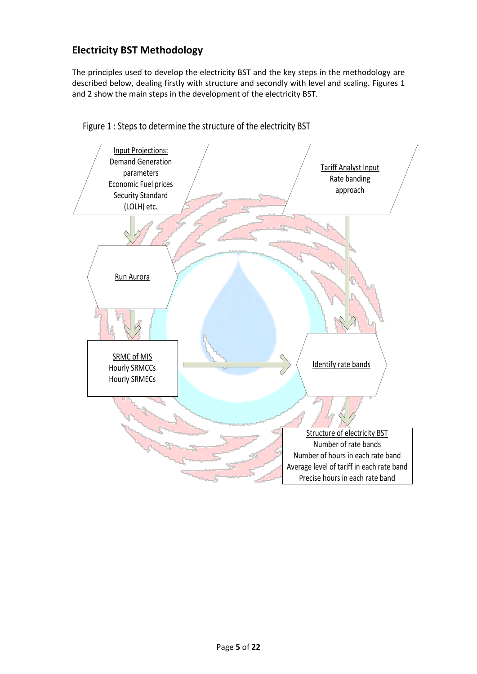## **Electricity BST Methodology**

The principles used to develop the electricity BST and the key steps in the methodology are described below, dealing firstly with structure and secondly with level and scaling. Figures 1 and 2 show the main steps in the development of the electricity BST.



Figure 1 : Steps to determine the structure of the electricity BST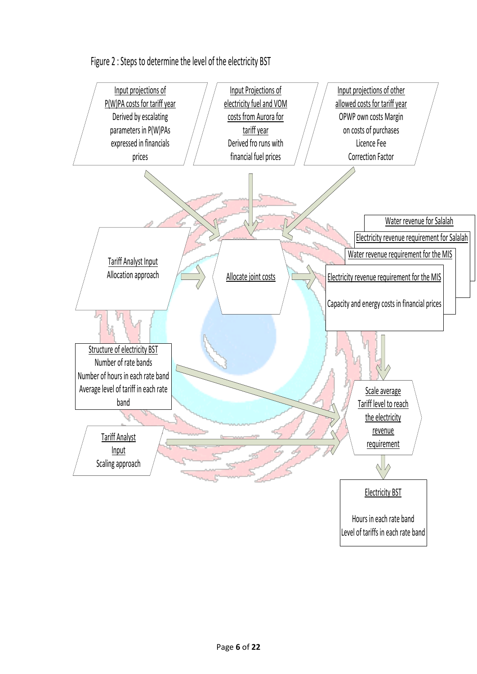

Figure 2 : Steps to determine the level of the electricity BST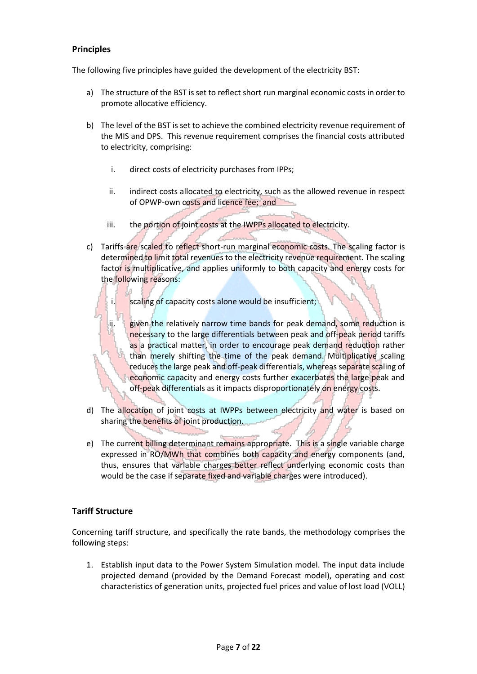### **Principles**

The following five principles have guided the development of the electricity BST:

- a) The structure of the BST is set to reflect short run marginal economic costs in order to promote allocative efficiency.
- b) The level of the BST is set to achieve the combined electricity revenue requirement of the MIS and DPS. This revenue requirement comprises the financial costs attributed to electricity, comprising:
	- i. direct costs of electricity purchases from IPPs;
	- ii. indirect costs allocated to electricity, such as the allowed revenue in respect of OPWP-own costs and licence fee; and
	- iii. the portion of joint costs at the IWPPs allocated to electricity.
- c) Tariffs are scaled to reflect short-run marginal economic costs. The scaling factor is determined to limit total revenues to the electricity revenue requirement. The scaling factor is multiplicative, and applies uniformly to both capacity and energy costs for the following reasons:
	- i. scaling of capacity costs alone would be insufficient;
	- ii. given the relatively narrow time bands for peak demand, some reduction is necessary to the large differentials between peak and off-peak period tariffs as a practical matter, in order to encourage peak demand reduction rather than merely shifting the time of the peak demand. Multiplicative scaling reduces the large peak and off-peak differentials, whereas separate scaling of economic capacity and energy costs further exacerbates the large peak and off-peak differentials as it impacts disproportionately on energy costs.
- d) The allocation of joint costs at IWPPs between electricity and water is based on sharing the benefits of joint production.
- e) The current billing determinant remains appropriate. This is a single variable charge expressed in RO/MWh that combines both capacity and energy components (and, thus, ensures that variable charges better reflect underlying economic costs than would be the case if separate fixed and variable charges were introduced).

### **Tariff Structure**

Concerning tariff structure, and specifically the rate bands, the methodology comprises the following steps:

1. Establish input data to the Power System Simulation model. The input data include projected demand (provided by the Demand Forecast model), operating and cost characteristics of generation units, projected fuel prices and value of lost load (VOLL)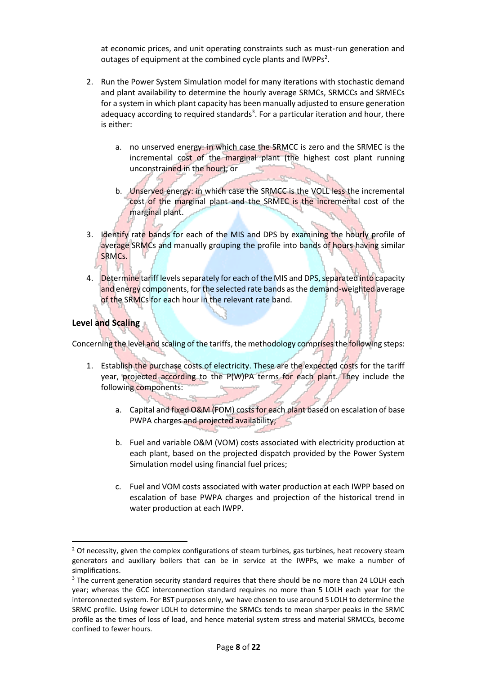at economic prices, and unit operating constraints such as must-run generation and outages of equipment at the combined cycle plants and IWPPs<sup>2</sup>.

- 2. Run the Power System Simulation model for many iterations with stochastic demand and plant availability to determine the hourly average SRMCs, SRMCCs and SRMECs for a system in which plant capacity has been manually adjusted to ensure generation adequacy according to required standards<sup>3</sup>. For a particular iteration and hour, there is either:
	- a. no unserved energy: in which case the SRMCC is zero and the SRMEC is the incremental cost of the marginal plant (the highest cost plant running unconstrained in the hour); or
	- b. Unserved energy: in which case the SRMCC is the VOLL less the incremental cost of the marginal plant and the SRMEC is the incremental cost of the marginal plant.
- 3. Identify rate bands for each of the MIS and DPS by examining the hourly profile of average SRMCs and manually grouping the profile into bands of hours having similar SRMCs.
- 4. Determine tariff levels separately for each of the MIS and DPS, separated into capacity and energy components, for the selected rate bands as the demand-weighted average of the SRMCs for each hour in the relevant rate band.

#### **Level and Scaling**

1

Concerning the level and scaling of the tariffs, the methodology comprises the following steps:

- 1. Establish the purchase costs of electricity. These are the expected costs for the tariff year, projected according to the P(W)PA terms for each plant. They include the following components:
	- a. Capital and fixed O&M (FOM) costs for each plant based on escalation of base PWPA charges and projected availability;
	- b. Fuel and variable O&M (VOM) costs associated with electricity production at each plant, based on the projected dispatch provided by the Power System Simulation model using financial fuel prices;
	- c. Fuel and VOM costs associated with water production at each IWPP based on escalation of base PWPA charges and projection of the historical trend in water production at each IWPP.

 $<sup>2</sup>$  Of necessity, given the complex configurations of steam turbines, gas turbines, heat recovery steam</sup> generators and auxiliary boilers that can be in service at the IWPPs, we make a number of simplifications.

<sup>&</sup>lt;sup>3</sup> The current generation security standard requires that there should be no more than 24 LOLH each year; whereas the GCC interconnection standard requires no more than 5 LOLH each year for the interconnected system. For BST purposes only, we have chosen to use around 5 LOLH to determine the SRMC profile. Using fewer LOLH to determine the SRMCs tends to mean sharper peaks in the SRMC profile as the times of loss of load, and hence material system stress and material SRMCCs, become confined to fewer hours.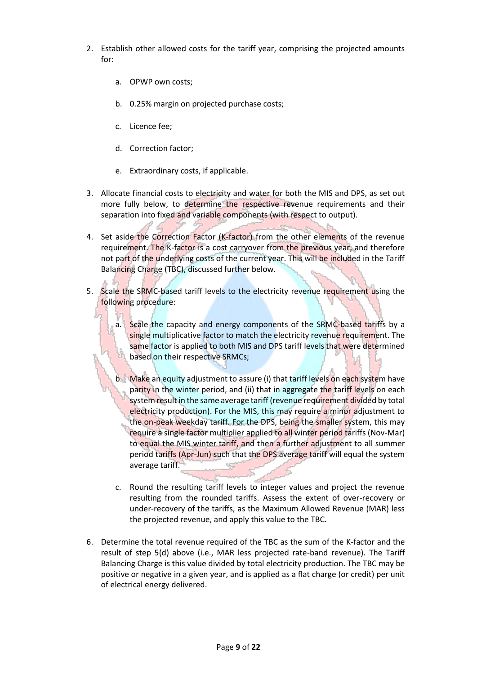- 2. Establish other allowed costs for the tariff year, comprising the projected amounts for:
	- a. OPWP own costs;
	- b. 0.25% margin on projected purchase costs;
	- c. Licence fee;
	- d. Correction factor;
	- e. Extraordinary costs, if applicable.
- 3. Allocate financial costs to electricity and water for both the MIS and DPS, as set out more fully below, to determine the respective revenue requirements and their separation into fixed and variable components (with respect to output).
- 4. Set aside the Correction Factor (K-factor) from the other elements of the revenue requirement. The K-factor is a cost carryover from the previous year, and therefore not part of the underlying costs of the current year. This will be included in the Tariff Balancing Charge (TBC), discussed further below.
- 5. Scale the SRMC-based tariff levels to the electricity revenue requirement using the following procedure:
	- a. Scale the capacity and energy components of the SRMC-based tariffs by a single multiplicative factor to match the electricity revenue requirement. The same factor is applied to both MIS and DPS tariff levels that were determined based on their respective SRMCs;
	- b. Make an equity adjustment to assure (i) that tariff levels on each system have parity in the winter period, and (ii) that in aggregate the tariff levels on each system result in the same average tariff (revenue requirement divided by total electricity production). For the MIS, this may require a minor adjustment to the on-peak weekday tariff. For the DPS, being the smaller system, this may require a single factor multiplier applied to all winter period tariffs (Nov-Mar) to equal the MIS winter tariff, and then a further adjustment to all summer period tariffs (Apr-Jun) such that the DPS average tariff will equal the system average tariff.
	- c. Round the resulting tariff levels to integer values and project the revenue resulting from the rounded tariffs. Assess the extent of over-recovery or under-recovery of the tariffs, as the Maximum Allowed Revenue (MAR) less the projected revenue, and apply this value to the TBC.
- 6. Determine the total revenue required of the TBC as the sum of the K-factor and the result of step 5(d) above (i.e., MAR less projected rate-band revenue). The Tariff Balancing Charge is this value divided by total electricity production. The TBC may be positive or negative in a given year, and is applied as a flat charge (or credit) per unit of electrical energy delivered.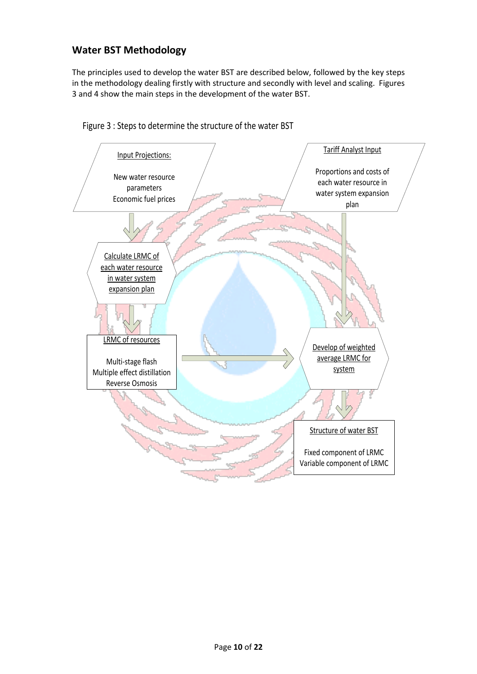### **Water BST Methodology**

The principles used to develop the water BST are described below, followed by the key steps in the methodology dealing firstly with structure and secondly with level and scaling. Figures 3 and 4 show the main steps in the development of the water BST.



Figure 3 : Steps to determine the structure of the water BST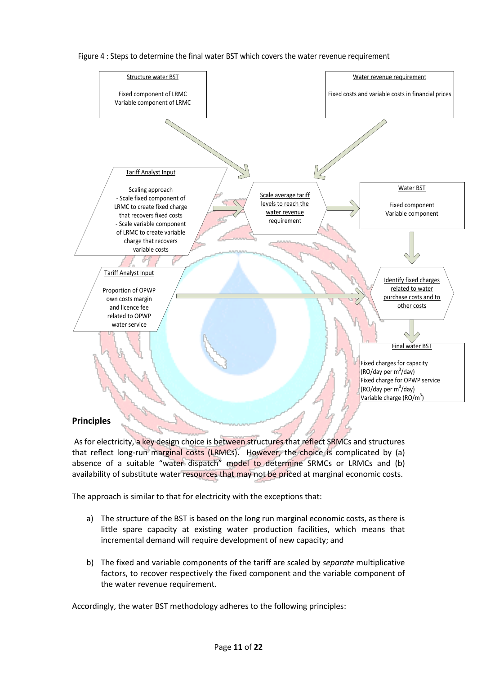

Figure 4 : Steps to determine the final water BST which covers the water revenue requirement

### **Principles**

As for electricity, a key design choice is between structures that reflect SRMCs and structures that reflect long-run marginal costs (LRMCs). However, the choice is complicated by (a) absence of a suitable "water dispatch" model to determine SRMCs or LRMCs and (b) availability of substitute water resources that may not be priced at marginal economic costs.

The approach is similar to that for electricity with the exceptions that:

- a) The structure of the BST is based on the long run marginal economic costs, as there is little spare capacity at existing water production facilities, which means that incremental demand will require development of new capacity; and
- b) The fixed and variable components of the tariff are scaled by *separate* multiplicative factors, to recover respectively the fixed component and the variable component of the water revenue requirement.

Accordingly, the water BST methodology adheres to the following principles: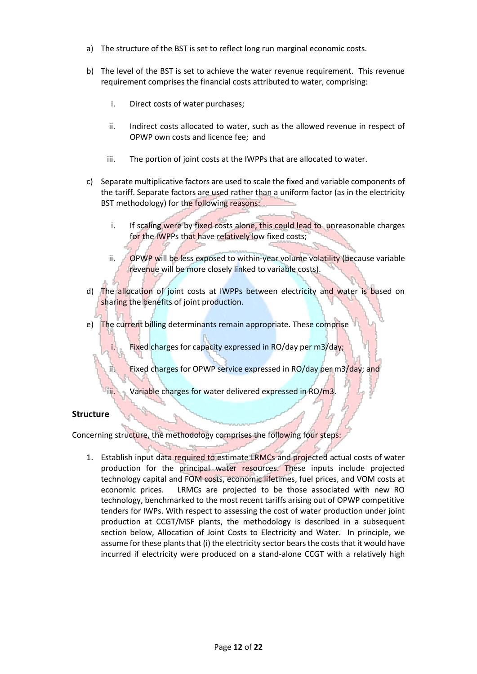- a) The structure of the BST is set to reflect long run marginal economic costs.
- b) The level of the BST is set to achieve the water revenue requirement. This revenue requirement comprises the financial costs attributed to water, comprising:
	- i. Direct costs of water purchases;
	- ii. Indirect costs allocated to water, such as the allowed revenue in respect of OPWP own costs and licence fee; and
	- iii. The portion of joint costs at the IWPPs that are allocated to water.
- c) Separate multiplicative factors are used to scale the fixed and variable components of the tariff. Separate factors are used rather than a uniform factor (as in the electricity BST methodology) for the following reasons:
	- i. If scaling were by fixed costs alone, this could lead to unreasonable charges for the IWPPs that have relatively low fixed costs;
	- ii. OPWP will be less exposed to within-year volume volatility (because variable revenue will be more closely linked to variable costs).
- d) The allocation of joint costs at IWPPs between electricity and water is based on sharing the benefits of joint production.
- e) The current billing determinants remain appropriate. These comprise
	- i. Fixed charges for capacity expressed in RO/day per m3/day;
	- ii. Fixed charges for OPWP service expressed in RO/day per m3/day; and
	- iii. Variable charges for water delivered expressed in RO/m3.

#### **Structure**

Concerning structure, the methodology comprises the following four steps:

1. Establish input data required to estimate LRMCs and projected actual costs of water production for the principal water resources. These inputs include projected technology capital and FOM costs, economic lifetimes, fuel prices, and VOM costs at economic prices. LRMCs are projected to be those associated with new RO technology, benchmarked to the most recent tariffs arising out of OPWP competitive tenders for IWPs. With respect to assessing the cost of water production under joint production at CCGT/MSF plants, the methodology is described in a subsequent section below, Allocation of Joint Costs to Electricity and Water. In principle, we assume for these plants that (i) the electricity sector bears the costs that it would have incurred if electricity were produced on a stand-alone CCGT with a relatively high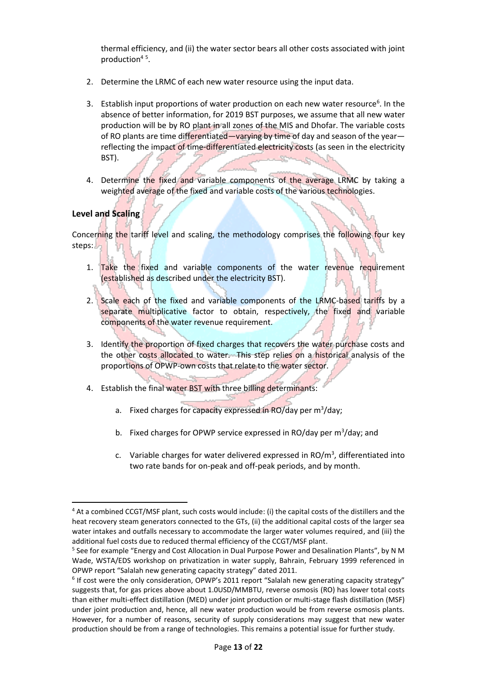thermal efficiency, and (ii) the water sector bears all other costs associated with joint production<sup>45</sup>.

- 2. Determine the LRMC of each new water resource using the input data.
- 3. Establish input proportions of water production on each new water resource<sup>6</sup>. In the absence of better information, for 2019 BST purposes, we assume that all new water production will be by RO plant in all zones of the MIS and Dhofar. The variable costs of RO plants are time differentiated—varying by time of day and season of the year reflecting the impact of time-differentiated electricity costs (as seen in the electricity BST).
- 4. Determine the fixed and variable components of the average LRMC by taking a weighted average of the fixed and variable costs of the various technologies.

### **Level and Scaling**

**.** 

Concerning the tariff level and scaling, the methodology comprises the following four key steps:

- 1. Take the fixed and variable components of the water revenue requirement (established as described under the electricity BST).
- 2. Scale each of the fixed and variable components of the LRMC-based tariffs by a separate multiplicative factor to obtain, respectively, the fixed and variable components of the water revenue requirement.
- 3. Identify the proportion of fixed charges that recovers the water purchase costs and the other costs allocated to water. This step relies on a historical analysis of the proportions of OPWP-own costs that relate to the water sector.
- 4. Establish the final water BST with three billing determinants:
	- a. Fixed charges for capacity expressed in RO/day per m<sup>3</sup>/day;
	- b. Fixed charges for OPWP service expressed in RO/day per  $m^3$ /day; and
	- c. Variable charges for water delivered expressed in  $RO/m<sup>3</sup>$ , differentiated into two rate bands for on-peak and off-peak periods, and by month.

<sup>&</sup>lt;sup>4</sup> At a combined CCGT/MSF plant, such costs would include: (i) the capital costs of the distillers and the heat recovery steam generators connected to the GTs, (ii) the additional capital costs of the larger sea water intakes and outfalls necessary to accommodate the larger water volumes required, and (iii) the additional fuel costs due to reduced thermal efficiency of the CCGT/MSF plant.

<sup>&</sup>lt;sup>5</sup> See for example "Energy and Cost Allocation in Dual Purpose Power and Desalination Plants", by N M Wade, WSTA/EDS workshop on privatization in water supply, Bahrain, February 1999 referenced in OPWP report "Salalah new generating capacity strategy" dated 2011.

<sup>&</sup>lt;sup>6</sup> If cost were the only consideration, OPWP's 2011 report "Salalah new generating capacity strategy" suggests that, for gas prices above about 1.0USD/MMBTU, reverse osmosis (RO) has lower total costs than either multi-effect distillation (MED) under joint production or multi-stage flash distillation (MSF) under joint production and, hence, all new water production would be from reverse osmosis plants. However, for a number of reasons, security of supply considerations may suggest that new water production should be from a range of technologies. This remains a potential issue for further study.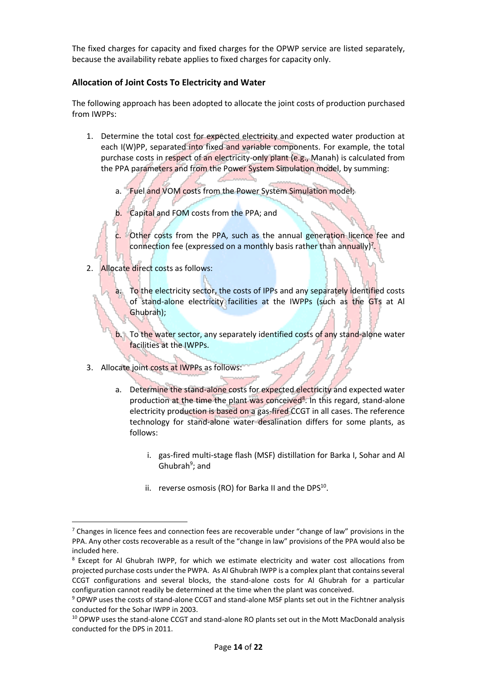The fixed charges for capacity and fixed charges for the OPWP service are listed separately, because the availability rebate applies to fixed charges for capacity only.

### **Allocation of Joint Costs To Electricity and Water**

The following approach has been adopted to allocate the joint costs of production purchased from IWPPs:

- 1. Determine the total cost for expected electricity and expected water production at each I(W)PP, separated into fixed and variable components. For example, the total purchase costs in respect of an electricity-only plant (e.g., Manah) is calculated from the PPA parameters and from the Power System Simulation model, by summing:
	- a. Fuel and VOM costs from the Power System Simulation model;
	- b. Capital and FOM costs from the PPA; and
	- c. Other costs from the PPA, such as the annual generation licence fee and connection fee (expressed on a monthly basis rather than annually)<sup>7</sup>.
- 2. Allocate direct costs as follows:
	- a. To the electricity sector, the costs of IPPs and any separately identified costs of stand-alone electricity facilities at the IWPPs (such as the GTs at Al Ghubrah);
	- b. To the water sector, any separately identified costs of any stand-alone water facilities at the IWPPs.
- 3. Allocate joint costs at IWPPs as follows:

**.** 

- a. Determine the stand-alone costs for expected electricity and expected water production at the time the plant was conceived<sup>8</sup>. In this regard, stand-alone electricity production is based on a gas-fired CCGT in all cases. The reference technology for stand-alone water desalination differs for some plants, as follows:
	- i. gas-fired multi-stage flash (MSF) distillation for Barka I, Sohar and Al Ghubrah<sup>9</sup>; and
	- ii. reverse osmosis (RO) for Barka II and the DPS $^{10}$ .

 $7$  Changes in licence fees and connection fees are recoverable under "change of law" provisions in the PPA. Any other costs recoverable as a result of the "change in law" provisions of the PPA would also be included here.

<sup>&</sup>lt;sup>8</sup> Except for Al Ghubrah IWPP, for which we estimate electricity and water cost allocations from projected purchase costs under the PWPA. As Al Ghubrah IWPP is a complex plant that contains several CCGT configurations and several blocks, the stand-alone costs for Al Ghubrah for a particular configuration cannot readily be determined at the time when the plant was conceived.

<sup>9</sup> OPWP uses the costs of stand-alone CCGT and stand-alone MSF plants set out in the Fichtner analysis conducted for the Sohar IWPP in 2003.

<sup>&</sup>lt;sup>10</sup> OPWP uses the stand-alone CCGT and stand-alone RO plants set out in the Mott MacDonald analysis conducted for the DPS in 2011.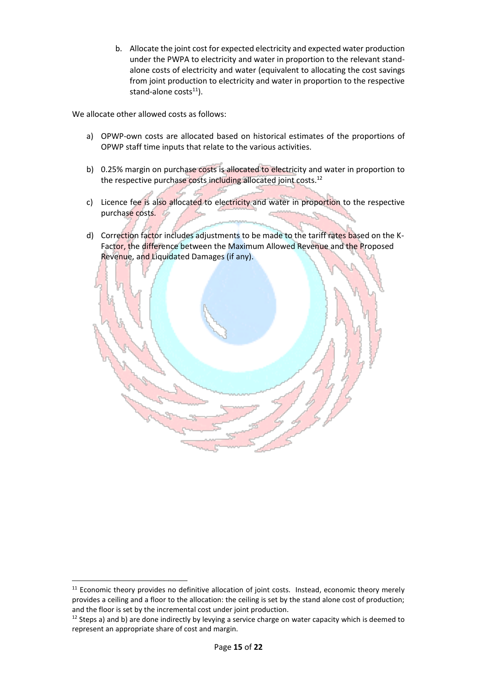b. Allocate the joint cost for expected electricity and expected water production under the PWPA to electricity and water in proportion to the relevant standalone costs of electricity and water (equivalent to allocating the cost savings from joint production to electricity and water in proportion to the respective stand-alone  $costs<sup>11</sup>$ ).

We allocate other allowed costs as follows:

- a) OPWP-own costs are allocated based on historical estimates of the proportions of OPWP staff time inputs that relate to the various activities.
- b) 0.25% margin on purchase costs is allocated to electricity and water in proportion to the respective purchase costs including allocated joint costs.<sup>12</sup>
- c) Licence fee is also allocated to electricity and water in proportion to the respective purchase costs.
- d) Correction factor includes adjustments to be made to the tariff rates based on the K-Factor, the difference between the Maximum Allowed Revenue and the Proposed Revenue, and Liquidated Damages (if any).



**.** 

<sup>&</sup>lt;sup>11</sup> Economic theory provides no definitive allocation of joint costs. Instead, economic theory merely provides a ceiling and a floor to the allocation: the ceiling is set by the stand alone cost of production; and the floor is set by the incremental cost under joint production.

 $12$  Steps a) and b) are done indirectly by levying a service charge on water capacity which is deemed to represent an appropriate share of cost and margin.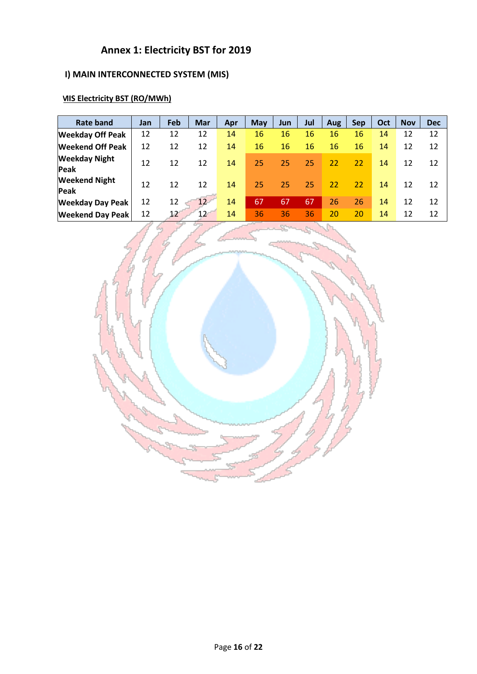## **Annex 1: Electricity BST for 2019**

## **I) MAIN INTERCONNECTED SYSTEM (MIS)**

## **MIS Electricity BST (RO/MWh)**

| <b>Rate band</b>             | Jan | Feb | <b>Mar</b>      | Apr | <b>May</b> | Jun | Jul | <b>Aug</b> | <b>Sep</b> | Oct | <b>Nov</b> | <b>Dec</b> |
|------------------------------|-----|-----|-----------------|-----|------------|-----|-----|------------|------------|-----|------------|------------|
| <b>Weekday Off Peak</b>      | 12  | 12  | 12              | 14  | 16         | 16  | 16  | 16         | 16         | 14  | 12         | 12         |
| <b>Weekend Off Peak</b>      | 12  | 12  | 12              | 14  | 16         | 16  | 16  | 16         | 16         | 14  | 12         | 12         |
| <b>Weekday Night</b><br>Peak | 12  | 12  | 12              | 14  | 25         | 25  | 25  | 22         | 22         | 14  | 12         | 12         |
| <b>Weekend Night</b><br>Peak | 12  | 12  | 12              | 14  | 25         | 25  | 25  | 22         | 22         | 14  | 12         | 12         |
| <b>Weekday Day Peak</b>      | 12  | 12  | 12 <sup>2</sup> | 14  | 67         | 67  | 67  | 26         | 26         | 14  | 12         | 12         |
| <b>Weekend Day Peak</b>      | 12  | 12  | 12              | 14  | 36         | 36  | 36  | 20         | 20         | 14  | 12         | 12         |

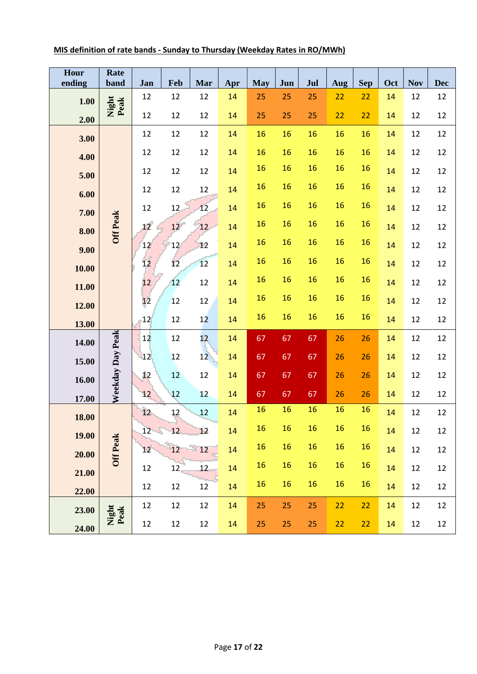| Hour<br>ending | Rate<br>band     | Jan | Feb | Mar | Apr | <b>May</b> | Jun | Jul | Aug | <b>Sep</b> | Oct | <b>Nov</b> | <b>Dec</b> |
|----------------|------------------|-----|-----|-----|-----|------------|-----|-----|-----|------------|-----|------------|------------|
| 1.00           |                  | 12  | 12  | 12  | 14  | 25         | 25  | 25  | 22  | 22         | 14  | 12         | 12         |
| 2.00           | Night<br>Peak    | 12  | 12  | 12  | 14  | 25         | 25  | 25  | 22  | 22         | 14  | 12         | 12         |
| 3.00           |                  | 12  | 12  | 12  | 14  | 16         | 16  | 16  | 16  | 16         | 14  | 12         | 12         |
| 4.00           |                  | 12  | 12  | 12  | 14  | 16         | 16  | 16  | 16  | 16         | 14  | 12         | 12         |
| 5.00           |                  | 12  | 12  | 12  | 14  | 16         | 16  | 16  | 16  | 16         | 14  | 12         | 12         |
| 6.00           |                  | 12  | 12  | 12  | 14  | 16         | 16  | 16  | 16  | 16         | 14  | 12         | 12         |
| 7.00           |                  | 12  | 12  | 12  | 14  | 16         | 16  | 16  | 16  | 16         | 14  | 12         | 12         |
| 8.00           | <b>Off Peak</b>  | 12  | 12  | 12  | 14  | 16         | 16  | 16  | 16  | 16         | 14  | 12         | 12         |
| 9.00           |                  | 12  | 12  | 12  | 14  | 16         | 16  | 16  | 16  | 16         | 14  | 12         | 12         |
| 10.00          |                  | 12  | 12  | 12  | 14  | 16         | 16  | 16  | 16  | 16         | 14  | 12         | 12         |
| 11.00          |                  | 12  | 12  | 12  | 14  | 16         | 16  | 16  | 16  | 16         | 14  | 12         | 12         |
| 12.00          |                  | 12  | 12  | 12  | 14  | 16         | 16  | 16  | 16  | 16         | 14  | 12         | 12         |
|                |                  | 12  | 12  | 12  | 14  | 16         | 16  | 16  | 16  | 16         | 14  | 12         | 12         |
| 13.00          |                  | 12  | 12  | 12  | 14  | 67         | 67  | 67  | 26  | 26         | 14  | 12         | 12         |
| 14.00          | Weekday Day Peak | 12  | 12  | 12  | 14  | 67         | 67  | 67  | 26  | 26         | 14  | 12         | 12         |
| 15.00          |                  | 12  | 12  | 12  | 14  | 67         | 67  | 67  | 26  | 26         | 14  | 12         | 12         |
| 16.00          |                  | 12  | 12  | 12  | 14  | 67         | 67  | 67  | 26  | 26         | 14  | 12         | 12         |
| 17.00          |                  | 12  | 12  | 12  | 14  | 16         | 16  | 16  | 16  | 16         | 14  | 12         | 12         |
| 18.00          |                  | 12  | 12  | 12  | 14  | 16         | 16  | 16  | 16  | 16         | 14  | 12         | 12         |
| 19.00          | <b>Off Peak</b>  | 12  | 12  | 12  | 14  | 16         | 16  | 16  | 16  | 16         | 14  | 12         | 12         |
| 20.00          |                  | 12  | 12  | 12  | 14  | 16         | 16  | 16  | 16  | 16         | 14  | 12         | 12         |
| 21.00          |                  | 12  | 12  | 12  | 14  | 16         | 16  | 16  | 16  | 16         | 14  | 12         | 12         |
| 22.00          |                  | 12  | 12  | 12  | 14  | 25         | 25  | 25  | 22  | 22         | 14  | 12         | 12         |
| 23.00          | Night<br>Peak    |     |     |     |     |            |     |     |     |            |     |            |            |
| 24.00          |                  | 12  | 12  | 12  | 14  | 25         | 25  | 25  | 22  | 22         | 14  | 12         | 12         |

### **MIS definition of rate bands - Sunday to Thursday (Weekday Rates in RO/MWh)**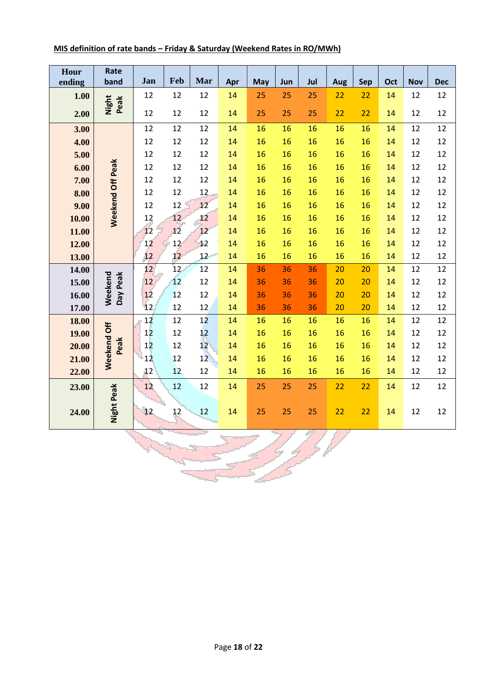| Hour<br>ending | Rate<br>band        | Jan | Feb | Mar             | Apr | May | Jun | Jul | <b>Aug</b> | Sep | Oct | <b>Nov</b> | <b>Dec</b> |
|----------------|---------------------|-----|-----|-----------------|-----|-----|-----|-----|------------|-----|-----|------------|------------|
|                |                     |     |     |                 |     |     |     |     |            |     |     |            |            |
| 1.00           | Night<br>Peak       | 12  | 12  | 12              | 14  | 25  | 25  | 25  | 22         | 22  | 14  | 12         | 12         |
| 2.00           |                     | 12  | 12  | 12              | 14  | 25  | 25  | 25  | 22         | 22  | 14  | 12         | 12         |
| 3.00           |                     | 12  | 12  | 12              | 14  | 16  | 16  | 16  | 16         | 16  | 14  | 12         | 12         |
| 4.00           |                     | 12  | 12  | 12              | 14  | 16  | 16  | 16  | 16         | 16  | 14  | 12         | 12         |
| 5.00           |                     | 12  | 12  | 12              | 14  | 16  | 16  | 16  | 16         | 16  | 14  | 12         | 12         |
| 6.00           |                     | 12  | 12  | 12              | 14  | 16  | 16  | 16  | 16         | 16  | 14  | 12         | 12         |
| 7.00           |                     | 12  | 12  | 12              | 14  | 16  | 16  | 16  | 16         | 16  | 14  | 12         | 12         |
| 8.00           | Weekend Off Peak    | 12  | 12  | 12              | 14  | 16  | 16  | 16  | 16         | 16  | 14  | 12         | 12         |
| 9.00           |                     | 12  | 12  | 12              | 14  | 16  | 16  | 16  | 16         | 16  | 14  | 12         | 12         |
| 10.00          |                     | 12  | 12  | 12              | 14  | 16  | 16  | 16  | 16         | 16  | 14  | 12         | 12         |
| 11.00          |                     | 12  | 12  | 12              | 14  | 16  | 16  | 16  | 16         | 16  | 14  | 12         | 12         |
| 12.00          |                     | 12  | 12  | 12              | 14  | 16  | 16  | 16  | 16         | 16  | 14  | 12         | 12         |
| 13.00          |                     | 12  | 12  | 12              | 14  | 16  | 16  | 16  | 16         | 16  | 14  | 12         | 12         |
| 14.00          |                     | 12  | 12  | 12              | 14  | 36  | 36  | 36  | 20         | 20  | 14  | 12         | 12         |
| 15.00          | Weekend<br>Day Peak | 12  | 12  | 12              | 14  | 36  | 36  | 36  | 20         | 20  | 14  | 12         | 12         |
| 16.00          |                     | 12  | 12  | 12              | 14  | 36  | 36  | 36  | 20         | 20  | 14  | 12         | 12         |
| 17.00          |                     | 12  | 12  | 12              | 14  | 36  | 36  | 36  | 20         | 20  | 14  | 12         | 12         |
| 18.00          |                     | 12  | 12  | 12              | 14  | 16  | 16  | 16  | 16         | 16  | 14  | 12         | 12         |
| 19.00          |                     | 12  | 12  | 12              | 14  | 16  | 16  | 16  | 16         | 16  | 14  | 12         | 12         |
| 20.00          | Peak                | 12  | 12  | 12 <sup>7</sup> | 14  | 16  | 16  | 16  | 16         | 16  | 14  | 12         | 12         |
| 21.00          | Weekend Off         | 12  | 12  | 12              | 14  | 16  | 16  | 16  | 16         | 16  | 14  | 12         | 12         |
| 22.00          |                     | 12  | 12  | 12              | 14  | 16  | 16  | 16  | 16         | 16  | 14  | 12         | 12         |
| 23.00          |                     | 12  | 12  | 12              | 14  | 25  | 25  | 25  | 22         | 22  | 14  | 12         | 12         |
| 24.00          | Night Peak          | 12  | 12  | 12              | 14  | 25  | 25  | 25  | 22         | 22  | 14  | 12         | 12         |

4. I

## **MIS definition of rate bands – Friday & Saturday (Weekend Rates in RO/MWh)**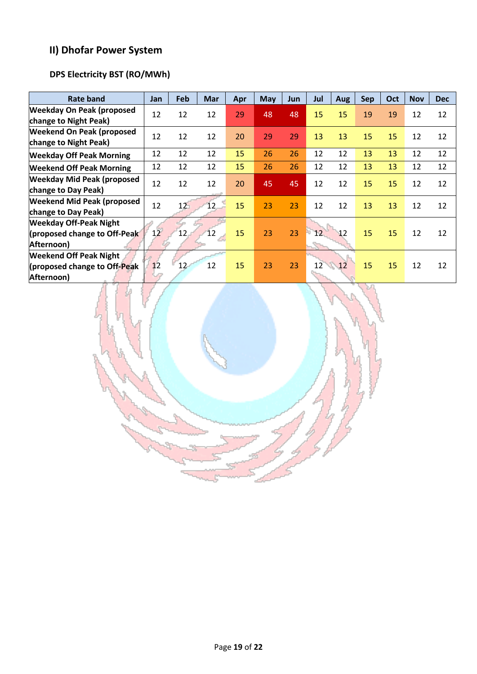## **II) Dhofar Power System**

## **DPS Electricity BST (RO/MWh)**

| Rate band                         | Jan | Feb | <b>Mar</b> | Apr | May | <b>Jun</b> | Jul | <b>Aug</b> | <b>Sep</b> | Oct | <b>Nov</b> | <b>Dec</b> |
|-----------------------------------|-----|-----|------------|-----|-----|------------|-----|------------|------------|-----|------------|------------|
| <b>Weekday On Peak (proposed</b>  | 12  | 12  | 12         | 29  | 48  | 48         | 15  | 15         | 19         | 19  | 12         | 12         |
| change to Night Peak)             |     |     |            |     |     |            |     |            |            |     |            |            |
| <b>Weekend On Peak (proposed</b>  | 12  | 12  | 12         | 20  | 29  | 29         | 13  | 13         | 15         | 15  | 12         | 12         |
| change to Night Peak)             |     |     |            |     |     |            |     |            |            |     |            |            |
| <b>Weekday Off Peak Morning</b>   | 12  | 12  | 12         | 15  | 26  | 26         | 12  | 12         | 13         | 13  | 12         | 12         |
| <b>Weekend Off Peak Morning</b>   | 12  | 12  | 12         | 15  | 26  | 26         | 12  | 12         | 13         | 13  | 12         | 12         |
| <b>Weekday Mid Peak (proposed</b> | 12  | 12  | 12         | 20  | 45  | 45         | 12  | 12         | 15         | 15  | 12         | 12         |
| change to Day Peak)               |     |     |            |     |     |            |     |            |            |     |            |            |
| <b>Weekend Mid Peak (proposed</b> | 12  | 12  | 12         | 15  | 23  | 23         | 12  | 12         | 13         | 13  | 12         | 12         |
| change to Day Peak)               |     |     |            |     |     |            |     |            |            |     |            |            |
| <b>Weekday Off-Peak Night</b>     |     |     |            |     |     |            |     |            |            |     |            |            |
| (proposed change to Off-Peak      | 12  | 12  | 12         | 15  | 23  | 23         | 12  | 12         | 15         | 15  | 12         | 12         |
| Afternoon)                        |     |     |            |     |     |            |     |            |            |     |            |            |
| <b>Weekend Off Peak Night</b>     |     |     |            |     |     |            |     |            |            |     |            |            |
| (proposed change to Off-Peak      | 12  | 12  | 12         | 15  | 23  | 23         | 12  | 12         | 15         | 15  | 12         | 12         |
| Afternoon)                        |     |     |            |     |     |            |     |            |            |     |            |            |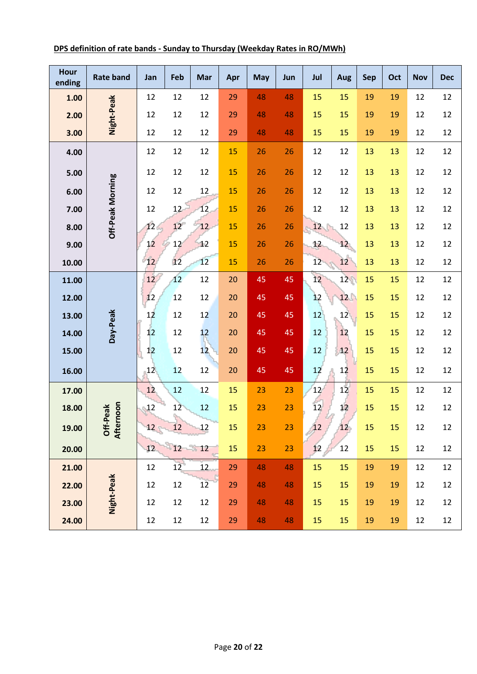| <b>Hour</b><br>ending | <b>Rate band</b>      | Jan    | Feb      | Mar | Apr | <b>May</b> | Jun | Jul | Aug | <b>Sep</b> | Oct | <b>Nov</b> | <b>Dec</b> |
|-----------------------|-----------------------|--------|----------|-----|-----|------------|-----|-----|-----|------------|-----|------------|------------|
| 1.00                  |                       | 12     | 12       | 12  | 29  | 48         | 48  | 15  | 15  | 19         | 19  | 12         | 12         |
| 2.00                  | Night-Peak            | 12     | 12       | 12  | 29  | 48         | 48  | 15  | 15  | 19         | 19  | 12         | 12         |
| 3.00                  |                       | 12     | 12       | 12  | 29  | 48         | 48  | 15  | 15  | 19         | 19  | 12         | 12         |
| 4.00                  |                       | 12     | 12       | 12  | 15  | 26         | 26  | 12  | 12  | 13         | 13  | 12         | 12         |
| 5.00                  |                       | 12     | 12       | 12  | 15  | 26         | 26  | 12  | 12  | 13         | 13  | 12         | 12         |
| 6.00                  | Off-Peak Morning      | 12     | 12       | 12  | 15  | 26         | 26  | 12  | 12  | 13         | 13  | 12         | 12         |
| 7.00                  |                       | 12     | 12       | 12  | 15  | 26         | 26  | 12  | 12  | 13         | 13  | 12         | 12         |
| 8.00                  |                       | 12     | 12       | 12  | 15  | 26         | 26  | 12  | 12  | 13         | 13  | 12         | 12         |
| 9.00                  |                       | 12     | 12       | 12  | 15  | 26         | 26  | 12  | 12  | 13         | 13  | 12         | 12         |
| 10.00                 |                       | 12     | 12       | 12  | 15  | 26         | 26  | 12  | 12  | 13         | 13  | 12         | 12         |
| 11.00                 |                       | 12     | 12       | 12  | 20  | 45         | 45  | 12  | 12  | 15         | 15  | 12         | 12         |
| 12.00                 |                       | 12     | 12       | 12  | 20  | 45         | 45  | 12  | 12  | 15         | 15  | 12         | 12         |
| 13.00                 |                       | 12     | 12       | 12  | 20  | 45         | 45  | 12  | 12  | 15         | 15  | 12         | 12         |
| 14.00                 | Day-Peak              | 12     | 12       | 12  | 20  | 45         | 45  | 12  | 12  | 15         | 15  | 12         | 12         |
| 15.00                 |                       | 12     | 12       | 12  | 20  | 45         | 45  | 12  | 12  | 15         | 15  | 12         | 12         |
| 16.00                 |                       | 12     | 12       | 12  | 20  | 45         | 45  | 12  | 12  | 15         | 15  | 12         | 12         |
| 17.00                 |                       | 12     | 12       | 12  | 15  | 23         | 23  | 12  | 12  | 15         | 15  | 12         | 12         |
| 18.00                 | rnoon                 | 12     | 12       | 12  | 15  | 23         | 23  | 12  | 12  | 15         | 15  | 12         | 12         |
| 19.00                 | Off-Peak<br>Afternoon | $12 -$ | ١.<br>12 | 12  | 15  | 23         | 23  | 12  | 12  | 15         | 15  | 12         | 12         |
| 20.00                 |                       | 12     | 12       | 12  | 15  | 23         | 23  | 12  | 12  | 15         | 15  | 12         | 12         |
| 21.00                 |                       | 12     | 12       | 12  | 29  | 48         | 48  | 15  | 15  | 19         | 19  | 12         | 12         |
| 22.00                 |                       | 12     | 12       | 12  | 29  | 48         | 48  | 15  | 15  | 19         | 19  | 12         | 12         |
| 23.00                 | Night-Peak            | 12     | 12       | 12  | 29  | 48         | 48  | 15  | 15  | 19         | 19  | 12         | 12         |
| 24.00                 |                       | 12     | 12       | 12  | 29  | 48         | 48  | 15  | 15  | 19         | 19  | 12         | 12         |

### **DPS definition of rate bands - Sunday to Thursday (Weekday Rates in RO/MWh)**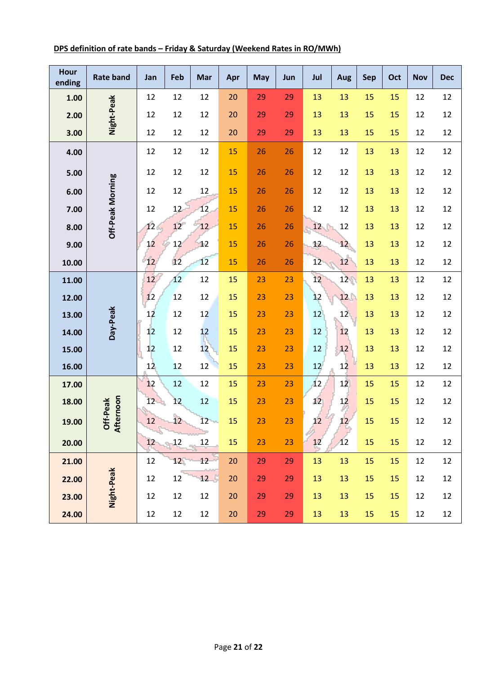| Hour<br>ending | <b>Rate band</b>         | Jan | Feb             | Mar | Apr | <b>May</b> | Jun | Jul | <b>Aug</b>      | <b>Sep</b> | Oct | <b>Nov</b> | <b>Dec</b> |
|----------------|--------------------------|-----|-----------------|-----|-----|------------|-----|-----|-----------------|------------|-----|------------|------------|
| 1.00           |                          | 12  | 12              | 12  | 20  | 29         | 29  | 13  | 13              | 15         | 15  | 12         | 12         |
| 2.00           | Night-Peak               | 12  | 12              | 12  | 20  | 29         | 29  | 13  | 13              | 15         | 15  | 12         | 12         |
| 3.00           |                          | 12  | 12              | 12  | 20  | 29         | 29  | 13  | 13              | 15         | 15  | 12         | 12         |
| 4.00           |                          | 12  | 12              | 12  | 15  | 26         | 26  | 12  | 12              | 13         | 13  | 12         | 12         |
| 5.00           |                          | 12  | 12              | 12  | 15  | 26         | 26  | 12  | 12              | 13         | 13  | 12         | 12         |
| 6.00           | Off-Peak Morning         | 12  | 12              | 12  | 15  | 26         | 26  | 12  | 12              | 13         | 13  | 12         | 12         |
| 7.00           |                          | 12  | 12              | 12  | 15  | 26         | 26  | 12  | 12              | 13         | 13  | 12         | 12         |
| 8.00           |                          | 12  | 12              | 12  | 15  | 26         | 26  | 12  | 12              | 13         | 13  | 12         | 12         |
| 9.00           |                          | 12  | 12              | 12  | 15  | 26         | 26  | 12  | 12 <sub>2</sub> | 13         | 13  | 12         | 12         |
| 10.00          |                          | 12  | 12              | 12  | 15  | 26         | 26  | 12  | 12              | 13         | 13  | 12         | 12         |
| 11.00          |                          | 12  | 12              | 12  | 15  | 23         | 23  | 12  | 12              | 13         | 13  | 12         | 12         |
| 12.00          |                          | 12  | 12              | 12  | 15  | 23         | 23  | 12  | 12              | 13         | 13  | 12         | 12         |
| 13.00          | Day-Peak                 | 12  | 12              | 12  | 15  | 23         | 23  | 12  | 12              | 13         | 13  | 12         | 12         |
| 14.00          |                          | 12  | 12              | 12  | 15  | 23         | 23  | 12  | 12              | 13         | 13  | 12         | 12         |
| 15.00          |                          | 12  | 12              | 12  | 15  | 23         | 23  | 12  | 12              | 13         | 13  | 12         | 12         |
| 16.00          |                          | 12  | 12              | 12  | 15  | 23         | 23  | 12  | 12              | 13         | 13  | 12         | 12         |
| 17.00          |                          | 12  | 12              | 12  | 15  | 23         | 23  | 12  | 12              | 15         | 15  | 12         | 12         |
| 18.00          | ernoon<br><b>If-Peak</b> | 12  | 12              | 12  | 15  | 23         | 23  | 12  | 12              | 15         | 15  | 12         | 12         |
| 19.00          | ট হ্ৰ                    | 12  | 12              | 12  | 15  | 23         | 23  | 12  | 12              | $15\,$     | 15  | 12         | 12         |
| 20.00          |                          | 12  | 12              | 12  | 15  | 23         | 23  | 12  | 12              | 15         | 15  | 12         | 12         |
| 21.00          |                          | 12  | 12 <sup>1</sup> | 12  | 20  | 29         | 29  | 13  | 13              | 15         | 15  | 12         | 12         |
| 22.00          |                          | 12  | 12              | 12  | 20  | 29         | 29  | 13  | 13              | 15         | 15  | 12         | 12         |
| 23.00          | Night-Peak               | 12  | 12              | 12  | 20  | 29         | 29  | 13  | 13              | 15         | 15  | 12         | 12         |
| 24.00          |                          | 12  | 12              | 12  | 20  | 29         | 29  | 13  | 13              | 15         | 15  | 12         | 12         |

### **DPS definition of rate bands – Friday & Saturday (Weekend Rates in RO/MWh)**